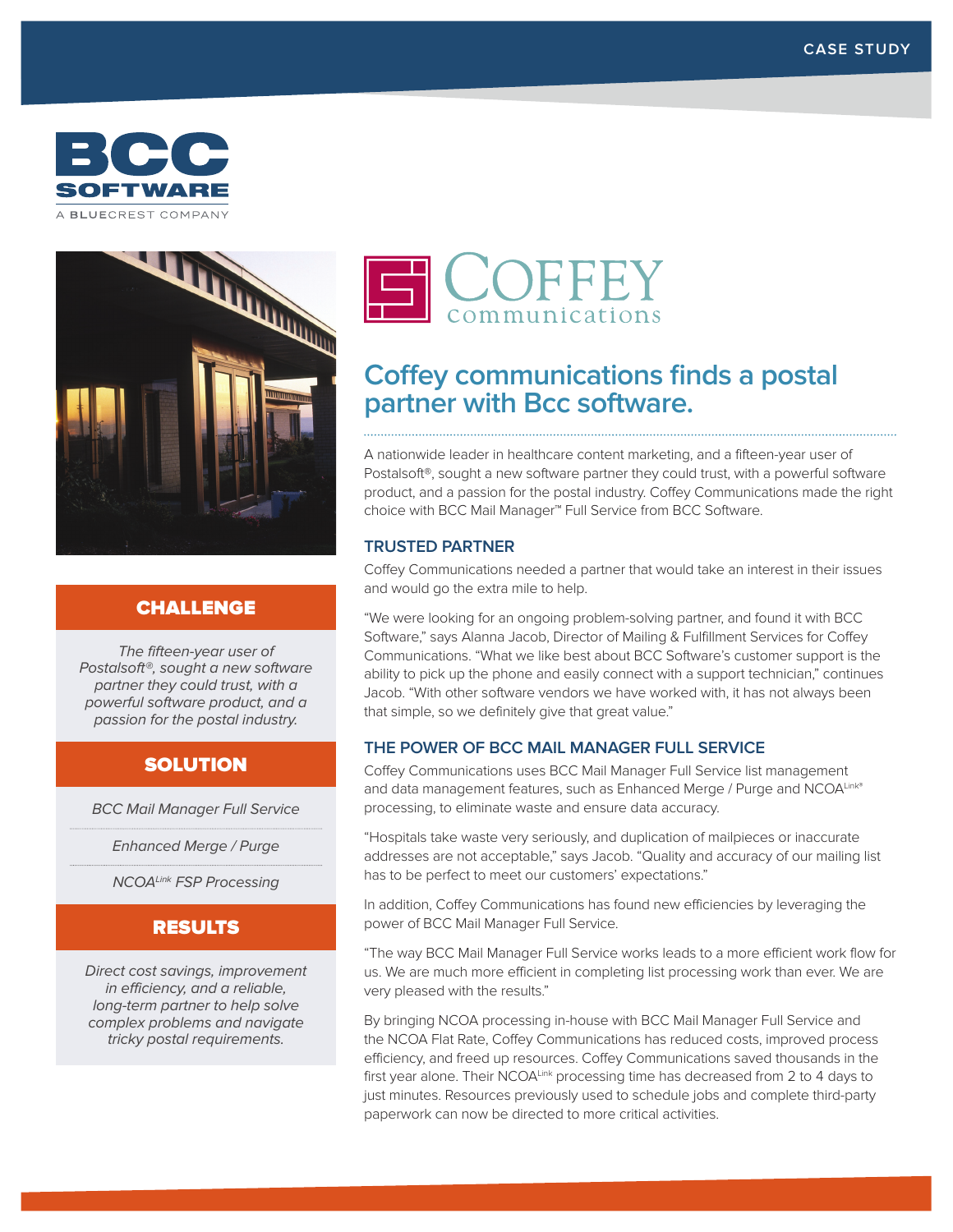



# CHALLENGE

The fifteen-year user of Postalsoft®, sought a new software partner they could trust, with a powerful software product, and a passion for the postal industry.

# **SOLUTION**

BCC Mail Manager Full Service

Enhanced Merge / Purge

NCOALink FSP Processing

## RESULTS

Direct cost savings, improvement in efficiency, and a reliable, long-term partner to help solve complex problems and navigate tricky postal requirements.



# **Coffey communications finds a postal partner with Bcc software.**

A nationwide leader in healthcare content marketing, and a fifteen-year user of Postalsoft®, sought a new software partner they could trust, with a powerful software product, and a passion for the postal industry. Coffey Communications made the right choice with BCC Mail Manager™ Full Service from BCC Software.

## **TRUSTED PARTNER**

Coffey Communications needed a partner that would take an interest in their issues and would go the extra mile to help.

"We were looking for an ongoing problem-solving partner, and found it with BCC Software," says Alanna Jacob, Director of Mailing & Fulfillment Services for Coffey Communications. "What we like best about BCC Software's customer support is the ability to pick up the phone and easily connect with a support technician," continues Jacob. "With other software vendors we have worked with, it has not always been that simple, so we definitely give that great value."

## **THE POWER OF BCC MAIL MANAGER FULL SERVICE**

Coffey Communications uses BCC Mail Manager Full Service list management and data management features, such as Enhanced Merge / Purge and NCOALink® processing, to eliminate waste and ensure data accuracy.

"Hospitals take waste very seriously, and duplication of mailpieces or inaccurate addresses are not acceptable," says Jacob. "Quality and accuracy of our mailing list has to be perfect to meet our customers' expectations."

In addition, Coffey Communications has found new efficiencies by leveraging the power of BCC Mail Manager Full Service.

"The way BCC Mail Manager Full Service works leads to a more efficient work flow for us. We are much more efficient in completing list processing work than ever. We are very pleased with the results."

By bringing NCOA processing in-house with BCC Mail Manager Full Service and the NCOA Flat Rate, Coffey Communications has reduced costs, improved process efficiency, and freed up resources. Coffey Communications saved thousands in the first year alone. Their NCOALink processing time has decreased from 2 to 4 days to just minutes. Resources previously used to schedule jobs and complete third-party paperwork can now be directed to more critical activities.